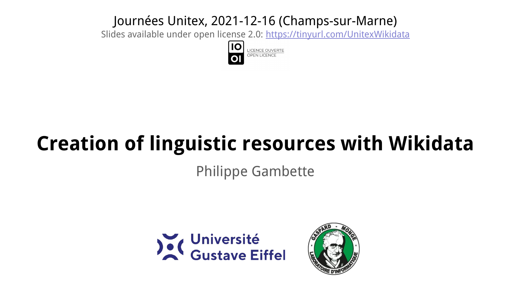#### Journées Unitex, 2021-12-16 (Champs-sur-Marne)

Slides available under open license 2.0:<https://tinyurl.com/UnitexWikidata>



# **Creation of linguistic resources with Wikidata**

Philippe Gambette



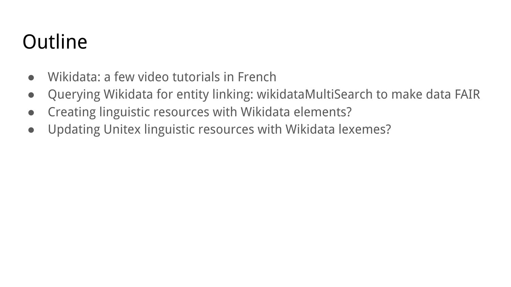# **Outline**

- Wikidata: a few video tutorials in French
- Querying Wikidata for entity linking: wikidataMultiSearch to make data FAIR
- Creating linguistic resources with Wikidata elements?
- Updating Unitex linguistic resources with Wikidata lexemes?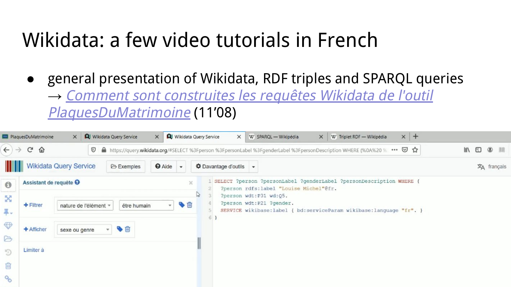- general presentation of Wikidata, RDF triples and SPARQL queries
	- → [Comment sont construites les requêtes Wikidata de l'outil](https://www.youtube.com/watch?v=x-fM9czTuW4) [PlaquesDuMatrimoine](https://www.youtube.com/watch?v=x-fM9czTuW4) (11'08)

|                                 | PlaquesDuMatrimoine                               | $\times$                                                                                                                                  |  | <b>Q</b> Wikidata Query Service | $\times$                                                              | <b>Q</b> Wikidata Query Service |  | $\times$                                    |            | W SPARQL - Wikipédia                   | $\times$ | W Triplet RDF - Wikipédia                                                                                                      |  | $x$ + |                                                          |
|---------------------------------|---------------------------------------------------|-------------------------------------------------------------------------------------------------------------------------------------------|--|---------------------------------|-----------------------------------------------------------------------|---------------------------------|--|---------------------------------------------|------------|----------------------------------------|----------|--------------------------------------------------------------------------------------------------------------------------------|--|-------|----------------------------------------------------------|
| $\leftarrow$ $\rightarrow$      | G<br>⋒                                            |                                                                                                                                           |  |                                 |                                                                       |                                 |  |                                             |            |                                        |          | 1 1 et https://query.wikidata.org/#SELECT %3Fperson %3FpersonLabel %3FgenderLabel %3FpersonDescription WHERE (%0A%20 % ••• ⊙ ☆ |  |       | $\mathbb{I}$<br>$\Box$<br>$\circledcirc$<br>$\mathbb{R}$ |
|                                 | <b>Wikidata Query Service</b>                     |                                                                                                                                           |  | <b>Exemples</b>                 | <b>O</b> Aide                                                         |                                 |  | <b><math>\Phi</math></b> Davantage d'outils | $\check{}$ |                                        |          |                                                                                                                                |  |       | $\overline{x}_A$ français                                |
| $\Theta$                        | Assistant de requête <sup>O</sup>                 |                                                                                                                                           |  |                                 |                                                                       | $\mathcal{L}$                   |  |                                             |            | ?person rdfs:label "Louise Michel"@fr. |          | SELECT ?person ?personLabel ?genderLabel ?personDescription WHERE {                                                            |  |       |                                                          |
| ---------<br>$\mathbf{X}$<br>早. | $+$ Filtrer                                       | W<br>?person wdt: P31 wd: Q5.<br>?person wdt: P21 ?gender.<br>$\cdot \bullet$<br>être humain<br>nature de l'élément »<br>$6 \overline{6}$ |  |                                 | SERVICE wikibase: label ( bd: serviceParam wikibase: language "fr", } |                                 |  |                                             |            |                                        |          |                                                                                                                                |  |       |                                                          |
| $\oplus$<br>2                   | 多面<br>+ Afficher<br>sexe ou genre<br>$\mathbf{v}$ |                                                                                                                                           |  |                                 |                                                                       |                                 |  |                                             |            |                                        |          |                                                                                                                                |  |       |                                                          |
| $\mathfrak{D}$                  | Limiter à                                         |                                                                                                                                           |  |                                 |                                                                       |                                 |  |                                             |            |                                        |          |                                                                                                                                |  |       |                                                          |
| 面                               |                                                   |                                                                                                                                           |  |                                 |                                                                       |                                 |  |                                             |            |                                        |          |                                                                                                                                |  |       |                                                          |
| $\mathcal{A}_{\mathcal{O}}$     |                                                   |                                                                                                                                           |  |                                 |                                                                       |                                 |  |                                             |            |                                        |          |                                                                                                                                |  |       |                                                          |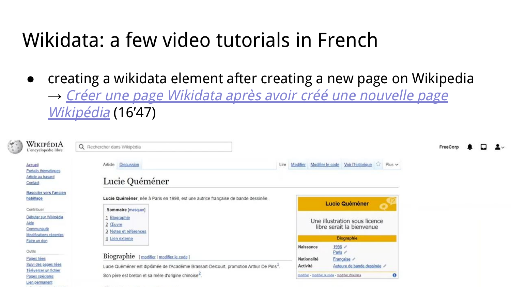● creating a wikidata element after creating a new page on Wikipedia → [Créer une page Wikidata après avoir créé une nouvelle page](https://www.youtube.com/watch?v=vHed6VZBVFI) [Wikipédia](https://www.youtube.com/watch?v=vHed6VZBVFI) (16'47)

| ¥.<br>WIKIPÉDIA<br>L'encyclopédie libre                                                                      | Q Rechercher dans Wikipédia                                                                                                                                                                              |                                                                                                                                                                        | FreeCorp |
|--------------------------------------------------------------------------------------------------------------|----------------------------------------------------------------------------------------------------------------------------------------------------------------------------------------------------------|------------------------------------------------------------------------------------------------------------------------------------------------------------------------|----------|
| Accueil<br>Portails thématiques<br>Article au hasard<br>Contact                                              | <b>Discussion</b><br>Article<br>Lucie Quéméner                                                                                                                                                           | Modifier Modifier le code Voir l'historique<br>Lire                                                                                                                    |          |
| <b>Basculer vers l'ancien</b><br>habillage<br>Contribuer                                                     | Lucie Quéméner, née à Paris en 1998, est une autrice française de bande dessinée.<br>Sommaire [masquer]                                                                                                  | <b>Lucie Quéméner</b>                                                                                                                                                  |          |
| Débuter sur Wikipédia<br>Aide<br>Communauté<br>Modifications recentes                                        | Biographie<br>2 Œuvre<br>3 Notes et références                                                                                                                                                           | Une illustration sous licence<br>libre serait la bienvenue                                                                                                             |          |
| Faire un don                                                                                                 | 4 Lien externe                                                                                                                                                                                           | <b>Biographie</b>                                                                                                                                                      |          |
| Outils<br>Pages liées<br>Sulvi des pages liées<br>Téléverser un fichier<br>Pages spéciales<br>Lien permanent | Biographie [modifier   modifier le code ]<br>Lucie Quéméner est diplômée de l'Académie Brassart-Delcourt, promotion Arthur De Pins <sup>1</sup> .<br>Son père est breton et sa mère d'origine chinoise". | 1998 /<br>Naissance<br>Paris /<br>Nationalité<br>Française /<br>Auteure de bande dessinée /<br>Activité<br>$\bf{o}$<br>modifier - modifier le code - modifier Wikidata |          |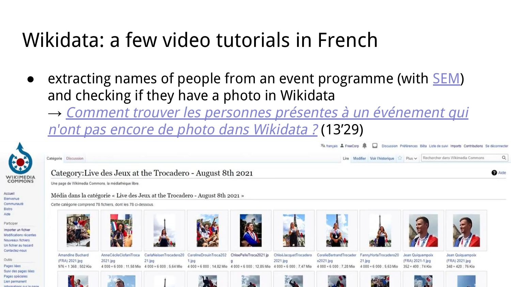extracting names of people from an event programme (with **[SEM](https://apps.lattice.cnrs.fr/sem/)**) and checking if they have a photo in Wikidata

→ [Comment trouver les personnes présentes à un événement qui](https://www.youtube.com/watch?v=Tq3XPeNEFGs&feature=youtu.be) n['ont pas encore de photo dans Wikidata ?](https://www.youtube.com/watch?v=Tq3XPeNEFGs&feature=youtu.be) (13'29)

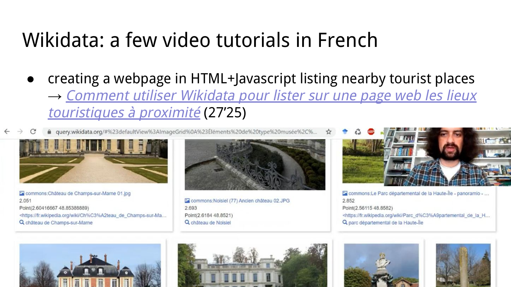● creating a webpage in HTML+Javascript listing nearby tourist places → [Comment utiliser Wikidata pour lister sur une page web les lieux](https://www.youtube.com/watch?v=7CeXNGArs54&feature=youtu.be) [touristiques à proximité](https://www.youtube.com/watch?v=7CeXNGArs54&feature=youtu.be) (27'25)

query.wikidata.org/#%23defaultView%3AlmageGrid%0A%23Éléments%20de%20type%20musée%2C%.



Commons: Château de Champs-sur-Marne 01.jpg 2.051 Point(2.60416667 48.85388889) <https://fr.wikipedia.org/wiki/Ch%C3%A2teau\_de\_Champs-sur-Ma... Q château de Champs-sur-Marne



E commons: Noisiel (77) Ancien château 02.JPG 2.693 Point(2.6184 48.8521) Q château de Noisiel





commons:Le Parc départemental de la Haute-Île - panoramio - ... 2.852 Point(2.56115 48.8582) <https://fr.wikipedia.org/wiki/Parc\_d%C3%A9partemental\_de\_la\_H... Q parc départemental de la Haute-Île



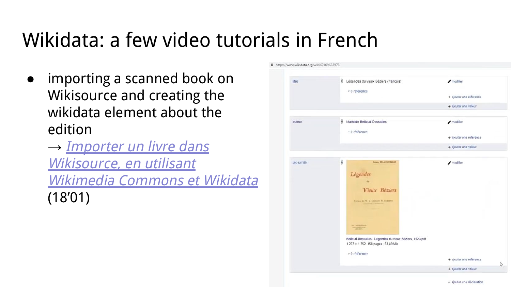● importing a scanned book on Wikisource and creating the wikidata element about the edition

→ *[Importer un livre dans](https://www.youtube.com/watch?v=PPTepM7_Ghc&feature=youtu.be)* [Wikisource, en utilisant](https://www.youtube.com/watch?v=PPTepM7_Ghc&feature=youtu.be) [Wikimedia Commons et Wikidata](https://www.youtube.com/watch?v=PPTepM7_Ghc&feature=youtu.be) (18'01)

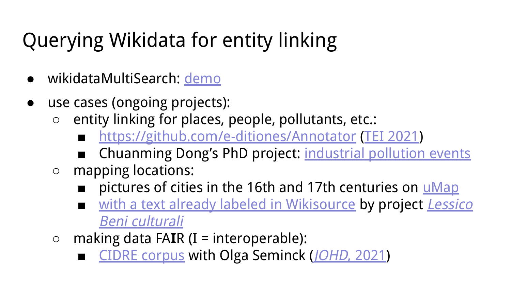# Querying Wikidata for entity linking

- wikidataMultiSearch: [demo](https://philippegambette.github.io/wikidataMultiSearch/)
- use cases (ongoing projects):
	- entity linking for places, people, pollutants, etc.:
		- <https://github.com/e-ditiones/Annotator> [\(TEI 2021](https://hal.archives-ouvertes.fr/hal-03380805))
		- Chuanming Dong's PhD project: [industrial pollution events](https://hal.archives-ouvertes.fr/hal-03366097)
	- mapping locations:
		- pictures of cities in the 16th and 17th centuries on *[uMap](https://umap.openstreetmap.fr/fr/map/vues-de-villes-aux-xvie-et-xviie-siecles_635544#5/45.368/12.415)*
		- [with a text already labeled in Wikisource](https://philippegambette.github.io/ws-tools/ws-geocoder/) by project [Lessico](https://fr.wikisource.org/wiki/Wikisource:Projet_Lessico_Beni_culturali) [Beni culturali](https://fr.wikisource.org/wiki/Wikisource:Projet_Lessico_Beni_culturali)
	- making data FA**I**R (I = interoperable):
		- [CIDRE corpus](https://www.ortolang.fr/market/corpora/cidre) with Olga Seminck (*JOHD*[, 2021](http://doi.org/10.5334/johd.42))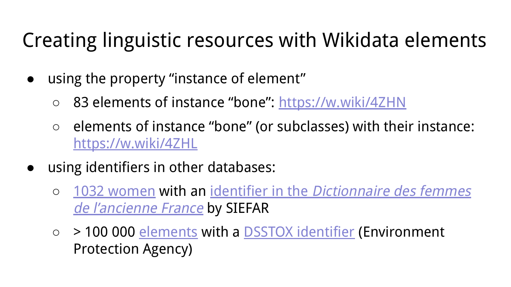# Creating linguistic resources with Wikidata elements

- using the property "instance of element"
	- 83 elements of instance "bone": <https://w.wiki/4ZHN>
	- elements of instance "bone" (or subclasses) with their instance: <https://w.wiki/4ZHL>
- using identifiers in other databases:
	- [1032 women](https://w.wiki/4ZHD) with an identifier in the [Dictionnaire des femmes](https://www.wikidata.org/wiki/Property:P7962) [de l'ancienne France](https://www.wikidata.org/wiki/Property:P7962) by SIEFAR
	- > 100 000 [elements](https://w.wiki/4ZHH) with a [DSSTOX identifier](https://www.wikidata.org/wiki/Property:P3117) (Environment Protection Agency)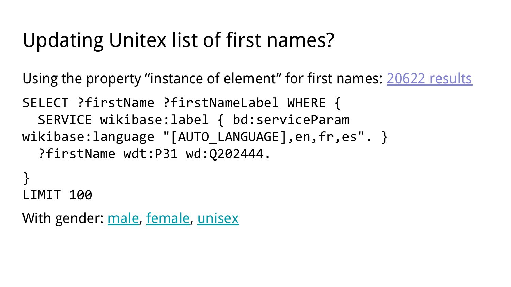#### Updating Unitex list of first names?

Using the property "instance of element" for first names: [20622 results](https://w.wiki/4ZEp)

SELECT ?firstName ?firstNameLabel WHERE { SERVICE wikibase:label { bd:serviceParam wikibase:language "[AUTO LANGUAGE], en, fr, es". } ?firstName wdt:P31 wd:Q202444.

} LIMIT 100

With gender: [male](https://w.wiki/4ZHU), [female,](https://w.wiki/4ZHa) [unisex](https://w.wiki/4ZHY)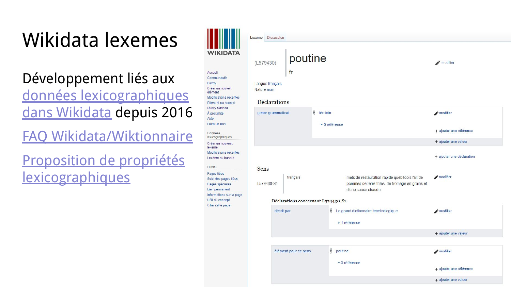# Wikidata lexemes

#### Développement liés aux [données lexicographiques](https://www.wikidata.org/wiki/Wikidata:Lexicographical_data/fr) [dans Wikidata](https://www.wikidata.org/wiki/Wikidata:Lexicographical_data/fr) depuis 2016

[FAQ Wikidata/Wiktionnaire](https://www.wikidata.org/wiki/Wikidata:Lexicographical_data/Wiktionary_FAQ/fr)

#### [Proposition de propriétés](https://www.wikidata.org/wiki/Wikidata:Property_proposal/Lexemes) **[lexicographiques](https://www.wikidata.org/wiki/Wikidata:Property_proposal/Lexemes)**

|                                                                                                       | Lexeme Discussion                                                                                                                                |                                                 |  |  |  |  |  |  |  |  |  |  |  |
|-------------------------------------------------------------------------------------------------------|--------------------------------------------------------------------------------------------------------------------------------------------------|-------------------------------------------------|--|--|--|--|--|--|--|--|--|--|--|
| VIKIDATA                                                                                              | poutine<br>(L579430)                                                                                                                             | modifier                                        |  |  |  |  |  |  |  |  |  |  |  |
| Accueil<br>Communauté<br><b>Bistro</b><br>Créer un nouvel<br>élément                                  | fr<br>Langue français<br>Nature nom                                                                                                              |                                                 |  |  |  |  |  |  |  |  |  |  |  |
| Modifications récentes<br>Élément au hasard                                                           | Déclarations                                                                                                                                     |                                                 |  |  |  |  |  |  |  |  |  |  |  |
| Query Service<br>À proximité<br>Aide                                                                  | $\frac{1}{2}$<br>genre grammatical<br>féminin                                                                                                    | modifier                                        |  |  |  |  |  |  |  |  |  |  |  |
| Faire un don<br>Données                                                                               | $\bullet$ 0 reférence                                                                                                                            | + ajouter une référence<br>+ ajouter une valeur |  |  |  |  |  |  |  |  |  |  |  |
| lexicographiques<br>Créer un nouveau                                                                  |                                                                                                                                                  |                                                 |  |  |  |  |  |  |  |  |  |  |  |
| lexème<br>Modifications récentes<br>Lexème au hasard                                                  |                                                                                                                                                  | + ajouter une déclaration                       |  |  |  |  |  |  |  |  |  |  |  |
| Outils                                                                                                | Sens                                                                                                                                             |                                                 |  |  |  |  |  |  |  |  |  |  |  |
| Pages liées<br>Suivi des pages liées<br>Pages spéciales<br>Lien permanent<br>Informations sur la page | français<br>mets de restauration rapide québécois fait de<br>L579430-S1<br>pommes de terre frites, de fromage en grains et<br>d'une sauce chaude | modifier                                        |  |  |  |  |  |  |  |  |  |  |  |
| URI du concept                                                                                        | Déclarations concernant L579430-S1                                                                                                               |                                                 |  |  |  |  |  |  |  |  |  |  |  |
| Citer cette page                                                                                      | $\frac{1}{2}$<br>Le grand dictionnaire terminologique<br>décrit par<br>▶ 1 référence                                                             | modifier                                        |  |  |  |  |  |  |  |  |  |  |  |
|                                                                                                       |                                                                                                                                                  | + ajouter une valeur                            |  |  |  |  |  |  |  |  |  |  |  |
|                                                                                                       |                                                                                                                                                  |                                                 |  |  |  |  |  |  |  |  |  |  |  |
|                                                                                                       | $rac{1}{2}$<br>élément pour ce sens<br>poutine                                                                                                   | modifier                                        |  |  |  |  |  |  |  |  |  |  |  |
|                                                                                                       | • 0 référence                                                                                                                                    | + ajouter une référence                         |  |  |  |  |  |  |  |  |  |  |  |
|                                                                                                       |                                                                                                                                                  | + ajouter une valeur                            |  |  |  |  |  |  |  |  |  |  |  |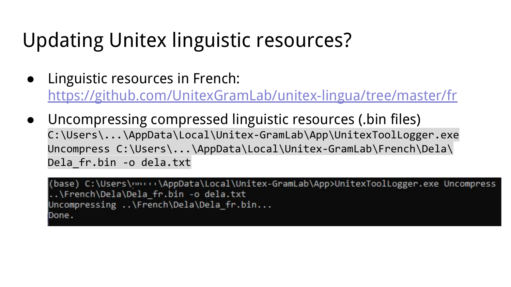- Linguistic resources in French: <https://github.com/UnitexGramLab/unitex-lingua/tree/master/fr>
- Uncompressing compressed linguistic resources (.bin files) C:\Users\...\AppData\Local\Unitex-GramLab\App\UnitexToolLogger.exe Uncompress C:\Users\...\AppData\Local\Unitex-GramLab\French\Dela\ Dela\_fr.bin -o dela.txt

(base) C:\Users\nn+++\AppData\Local\Unitex-GramLab\App>UnitexToolLogger.exe Uncompress ..\French\Dela\Dela fr.bin -o dela.txt Uncompressing ..\French\Dela\Dela fr.bin... Done.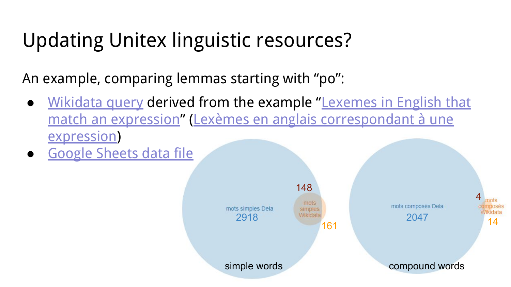An example, comparing lemmas starting with "po":

- [Wikidata query](https://w.wiki/4ZFJ) derived from the example "[Lexemes in English that](https://www.wikidata.org/wiki/Wikidata:SPARQL_query_service/queries/examples#Lexemes_in_English_that_match_an_expression) [match an expression"](https://www.wikidata.org/wiki/Wikidata:SPARQL_query_service/queries/examples#Lexemes_in_English_that_match_an_expression) [\(Lexèmes en anglais correspondant à une](https://www.wikidata.org/wiki/Wikidata:SPARQL_query_service/queries/examples/fr#Lex%C3%A8mes_en_anglais_correspondant_%C3%A0_une_expression) [expression\)](https://www.wikidata.org/wiki/Wikidata:SPARQL_query_service/queries/examples/fr#Lex%C3%A8mes_en_anglais_correspondant_%C3%A0_une_expression)
- **[Google Sheets data file](https://docs.google.com/spreadsheets/d/1_cS_5PUrHe2T-lJ1glWIEywuvxknJbXr4S5Sc31UQhk/edit?usp=sharing)**

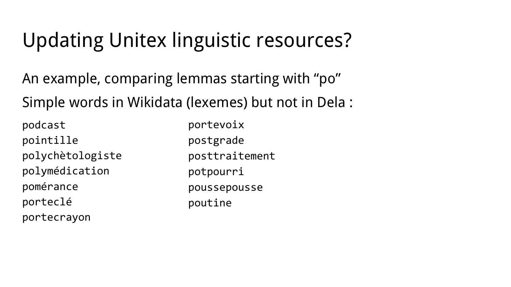An example, comparing lemmas starting with "po" Simple words in Wikidata (lexemes) but not in Dela :

podcast pointille polychètologiste polymédication pomérance porteclé portecrayon

portevoix postgrade posttraitement potpourri poussepousse poutine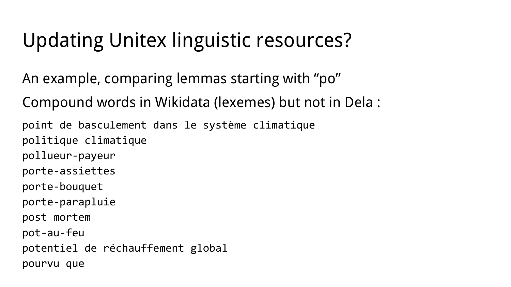An example, comparing lemmas starting with "po"

Compound words in Wikidata (lexemes) but not in Dela :

point de basculement dans le système climatique politique climatique pollueur-payeur porte-assiettes porte-bouquet porte-parapluie post mortem pot-au-feu potentiel de réchauffement global pourvu que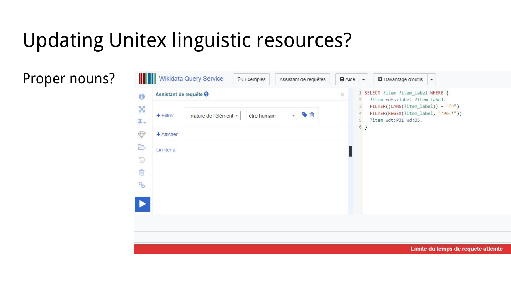Proper nouns?